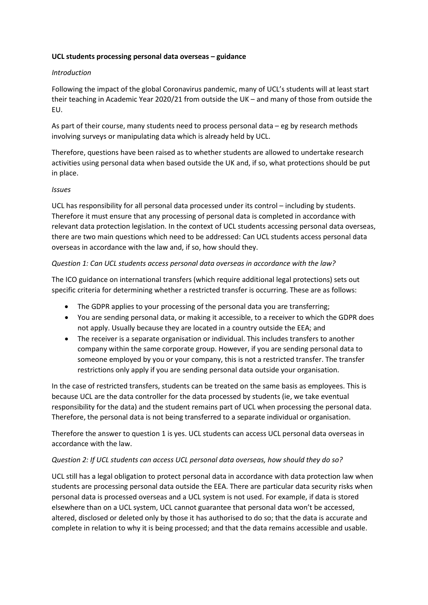### **UCL students processing personal data overseas – guidance**

### *Introduction*

Following the impact of the global Coronavirus pandemic, many of UCL's students will at least start their teaching in Academic Year 2020/21 from outside the UK – and many of those from outside the EU.

As part of their course, many students need to process personal data – eg by research methods involving surveys or manipulating data which is already held by UCL.

Therefore, questions have been raised as to whether students are allowed to undertake research activities using personal data when based outside the UK and, if so, what protections should be put in place.

### *Issues*

UCL has responsibility for all personal data processed under its control – including by students. Therefore it must ensure that any processing of personal data is completed in accordance with relevant data protection legislation. In the context of UCL students accessing personal data overseas, there are two main questions which need to be addressed: Can UCL students access personal data overseas in accordance with the law and, if so, how should they.

# *Question 1: Can UCL students access personal data overseas in accordance with the law?*

The ICO guidance on international transfers (which require additional legal protections) sets out specific criteria for determining whether a restricted transfer is occurring. These are as follows:

- The GDPR applies to your processing of the personal data you are transferring;
- You are sending personal data, or making it accessible, to a receiver to which the GDPR does not apply. Usually because they are located in a country outside the EEA; and
- The receiver is a separate organisation or individual. This includes transfers to another company within the same corporate group. However, if you are sending personal data to someone employed by you or your company, this is not a restricted transfer. The transfer restrictions only apply if you are sending personal data outside your organisation.

In the case of restricted transfers, students can be treated on the same basis as employees. This is because UCL are the data controller for the data processed by students (ie, we take eventual responsibility for the data) and the student remains part of UCL when processing the personal data. Therefore, the personal data is not being transferred to a separate individual or organisation.

Therefore the answer to question 1 is yes. UCL students can access UCL personal data overseas in accordance with the law.

# *Question 2: If UCL students can access UCL personal data overseas, how should they do so?*

UCL still has a legal obligation to protect personal data in accordance with data protection law when students are processing personal data outside the EEA. There are particular data security risks when personal data is processed overseas and a UCL system is not used. For example, if data is stored elsewhere than on a UCL system, UCL cannot guarantee that personal data won't be accessed, altered, disclosed or deleted only by those it has authorised to do so; that the data is accurate and complete in relation to why it is being processed; and that the data remains accessible and usable.